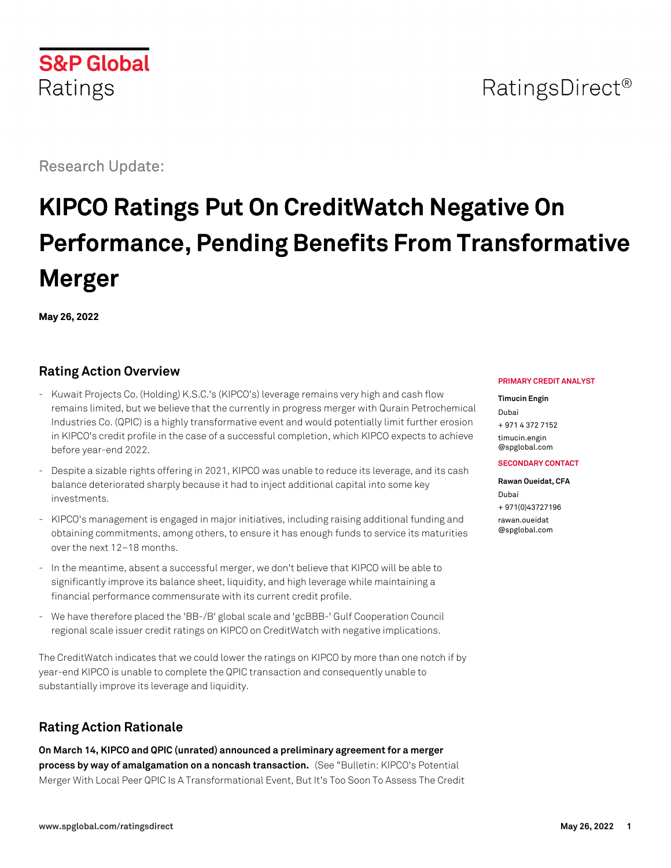



# RatingsDirect<sup>®</sup>

Research Update:

# **KIPCO Ratings Put On CreditWatch Negative On Performance, Pending Benefits From Transformative Merger**

**May 26, 2022**

# **Rating Action Overview**

- Kuwait Projects Co. (Holding) K.S.C.'s (KIPCO's) leverage remains very high and cash flow remains limited, but we believe that the currently in progress merger with Qurain Petrochemical Industries Co. (QPIC) is a highly transformative event and would potentially limit further erosion in KIPCO's credit profile in the case of a successful completion, which KIPCO expects to achieve before year-end 2022.
- Despite a sizable rights offering in 2021, KIPCO was unable to reduce its leverage, and its cash balance deteriorated sharply because it had to inject additional capital into some key investments.
- KIPCO's management is engaged in major initiatives, including raising additional funding and obtaining commitments, among others, to ensure it has enough funds to service its maturities over the next 12–18 months.
- In the meantime, absent a successful merger, we don't believe that KIPCO will be able to significantly improve its balance sheet, liquidity, and high leverage while maintaining a financial performance commensurate with its current credit profile.
- We have therefore placed the 'BB-/B' global scale and 'gcBBB-' Gulf Cooperation Council regional scale issuer credit ratings on KIPCO on CreditWatch with negative implications.

The CreditWatch indicates that we could lower the ratings on KIPCO by more than one notch if by year-end KIPCO is unable to complete the QPIC transaction and consequently unable to substantially improve its leverage and liquidity.

# **Rating Action Rationale**

**On March 14, KIPCO and QPIC (unrated) announced a preliminary agreement for a merger process by way of amalgamation on a noncash transaction.** (See "Bulletin: KIPCO's Potential Merger With Local Peer QPIC Is A Transformational Event, But It's Too Soon To Assess The Credit

#### **PRIMARY CREDIT ANALYST**

#### **Timucin Engin**

Dubai + 971 4 372 7152 [timucin.engin](mailto:timucin.engin@spglobal.com) [@spglobal.com](mailto:timucin.engin@spglobal.com)

#### **SECONDARY CONTACT**

**Rawan Oueidat, CFA** Dubai + 971(0)43727196 [rawan.oueidat](mailto:rawan.oueidat@spglobal.com) [@spglobal.com](mailto:rawan.oueidat@spglobal.com)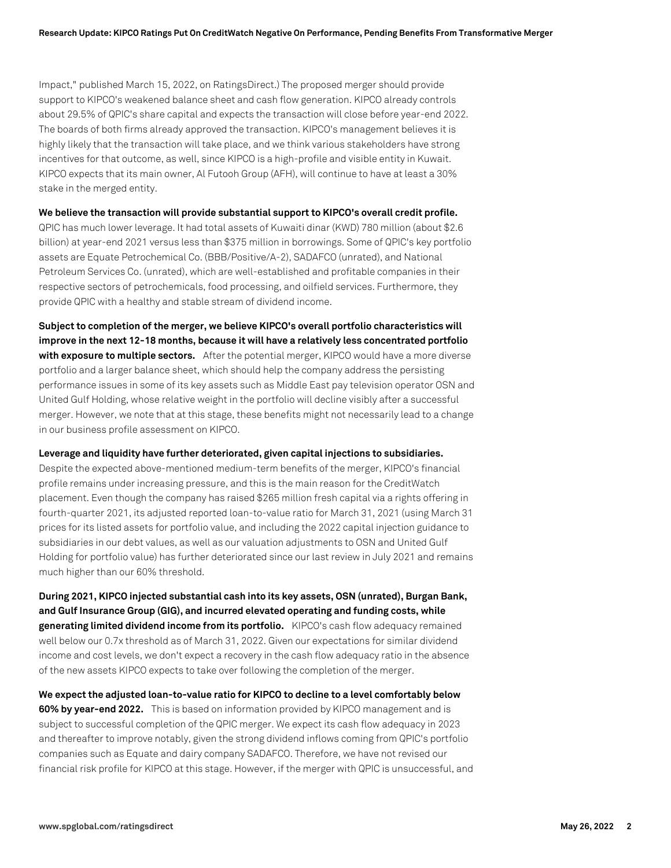Impact," published March 15, 2022, on RatingsDirect.) The proposed merger should provide support to KIPCO's weakened balance sheet and cash flow generation. KIPCO already controls about 29.5% of QPIC's share capital and expects the transaction will close before year-end 2022. The boards of both firms already approved the transaction. KIPCO's management believes it is highly likely that the transaction will take place, and we think various stakeholders have strong incentives for that outcome, as well, since KIPCO is a high-profile and visible entity in Kuwait. KIPCO expects that its main owner, Al Futooh Group (AFH), will continue to have at least a 30% stake in the merged entity.

**We believe the transaction will provide substantial support to KIPCO's overall credit profile.**

QPIC has much lower leverage. It had total assets of Kuwaiti dinar (KWD) 780 million (about \$2.6 billion) at year-end 2021 versus less than \$375 million in borrowings. Some of QPIC's key portfolio assets are Equate Petrochemical Co. (BBB/Positive/A-2), SADAFCO (unrated), and National Petroleum Services Co. (unrated), which are well-established and profitable companies in their respective sectors of petrochemicals, food processing, and oilfield services. Furthermore, they provide QPIC with a healthy and stable stream of dividend income.

**Subject to completion of the merger, we believe KIPCO's overall portfolio characteristics will improve in the next 12-18 months, because it will have a relatively less concentrated portfolio with exposure to multiple sectors.** After the potential merger, KIPCO would have a more diverse portfolio and a larger balance sheet, which should help the company address the persisting performance issues in some of its key assets such as Middle East pay television operator OSN and United Gulf Holding, whose relative weight in the portfolio will decline visibly after a successful merger. However, we note that at this stage, these benefits might not necessarily lead to a change in our business profile assessment on KIPCO.

**Leverage and liquidity have further deteriorated, given capital injections to subsidiaries.**

Despite the expected above-mentioned medium-term benefits of the merger, KIPCO's financial profile remains under increasing pressure, and this is the main reason for the CreditWatch placement. Even though the company has raised \$265 million fresh capital via a rights offering in fourth-quarter 2021, its adjusted reported loan-to-value ratio for March 31, 2021 (using March 31 prices for its listed assets for portfolio value, and including the 2022 capital injection guidance to subsidiaries in our debt values, as well as our valuation adjustments to OSN and United Gulf Holding for portfolio value) has further deteriorated since our last review in July 2021 and remains much higher than our 60% threshold.

**During 2021, KIPCO injected substantial cash into its key assets, OSN (unrated), Burgan Bank, and Gulf Insurance Group (GIG), and incurred elevated operating and funding costs, while generating limited dividend income from its portfolio.** KIPCO's cash flow adequacy remained well below our 0.7x threshold as of March 31, 2022. Given our expectations for similar dividend income and cost levels, we don't expect a recovery in the cash flow adequacy ratio in the absence of the new assets KIPCO expects to take over following the completion of the merger.

**We expect the adjusted loan-to-value ratio for KIPCO to decline to a level comfortably below 60% by year-end 2022.** This is based on information provided by KIPCO management and is subject to successful completion of the QPIC merger. We expect its cash flow adequacy in 2023 and thereafter to improve notably, given the strong dividend inflows coming from QPIC's portfolio companies such as Equate and dairy company SADAFCO. Therefore, we have not revised our financial risk profile for KIPCO at this stage. However, if the merger with QPIC is unsuccessful, and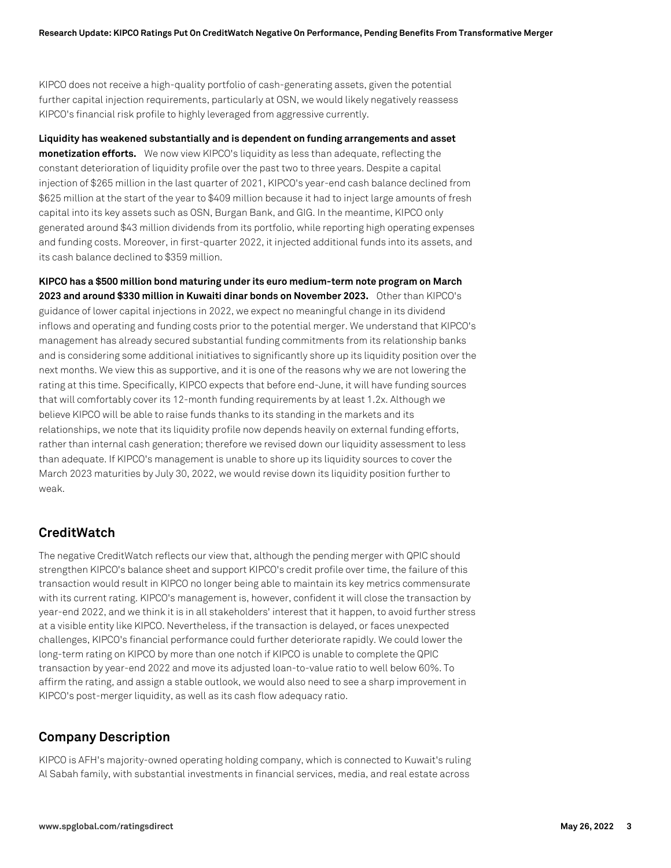KIPCO does not receive a high-quality portfolio of cash-generating assets, given the potential further capital injection requirements, particularly at OSN, we would likely negatively reassess KIPCO's financial risk profile to highly leveraged from aggressive currently.

**Liquidity has weakened substantially and is dependent on funding arrangements and asset monetization efforts.** We now view KIPCO's liquidity as less than adequate, reflecting the constant deterioration of liquidity profile over the past two to three years. Despite a capital injection of \$265 million in the last quarter of 2021, KIPCO's year-end cash balance declined from \$625 million at the start of the year to \$409 million because it had to inject large amounts of fresh capital into its key assets such as OSN, Burgan Bank, and GIG. In the meantime, KIPCO only generated around \$43 million dividends from its portfolio, while reporting high operating expenses and funding costs. Moreover, in first-quarter 2022, it injected additional funds into its assets, and its cash balance declined to \$359 million.

**KIPCO has a \$500 million bond maturing under its euro medium-term note program on March 2023 and around \$330 million in Kuwaiti dinar bonds on November 2023.** Other than KIPCO's guidance of lower capital injections in 2022, we expect no meaningful change in its dividend inflows and operating and funding costs prior to the potential merger. We understand that KIPCO's management has already secured substantial funding commitments from its relationship banks and is considering some additional initiatives to significantly shore up its liquidity position over the next months. We view this as supportive, and it is one of the reasons why we are not lowering the rating at this time. Specifically, KIPCO expects that before end-June, it will have funding sources that will comfortably cover its 12-month funding requirements by at least 1.2x. Although we believe KIPCO will be able to raise funds thanks to its standing in the markets and its relationships, we note that its liquidity profile now depends heavily on external funding efforts, rather than internal cash generation; therefore we revised down our liquidity assessment to less than adequate. If KIPCO's management is unable to shore up its liquidity sources to cover the March 2023 maturities by July 30, 2022, we would revise down its liquidity position further to weak.

## **CreditWatch**

The negative CreditWatch reflects our view that, although the pending merger with QPIC should strengthen KIPCO's balance sheet and support KIPCO's credit profile over time, the failure of this transaction would result in KIPCO no longer being able to maintain its key metrics commensurate with its current rating. KIPCO's management is, however, confident it will close the transaction by year-end 2022, and we think it is in all stakeholders' interest that it happen, to avoid further stress at a visible entity like KIPCO. Nevertheless, if the transaction is delayed, or faces unexpected challenges, KIPCO's financial performance could further deteriorate rapidly. We could lower the long-term rating on KIPCO by more than one notch if KIPCO is unable to complete the QPIC transaction by year-end 2022 and move its adjusted loan-to-value ratio to well below 60%. To affirm the rating, and assign a stable outlook, we would also need to see a sharp improvement in KIPCO's post-merger liquidity, as well as its cash flow adequacy ratio.

## **Company Description**

KIPCO is AFH's majority-owned operating holding company, which is connected to Kuwait's ruling Al Sabah family, with substantial investments in financial services, media, and real estate across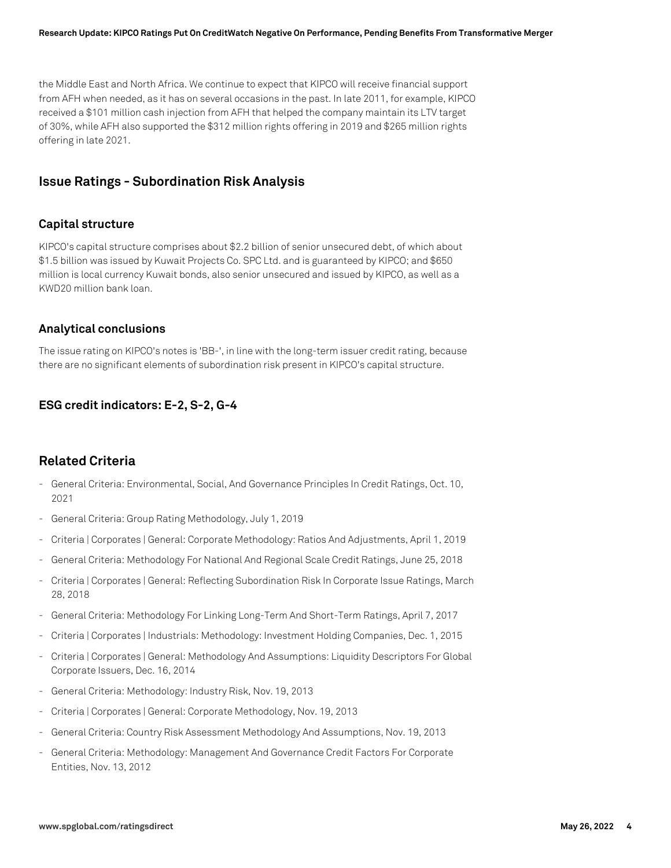the Middle East and North Africa. We continue to expect that KIPCO will receive financial support from AFH when needed, as it has on several occasions in the past. In late 2011, for example, KIPCO received a \$101 million cash injection from AFH that helped the company maintain its LTV target of 30%, while AFH also supported the \$312 million rights offering in 2019 and \$265 million rights offering in late 2021.

#### **Issue Ratings - Subordination Risk Analysis**

#### **Capital structure**

KIPCO's capital structure comprises about \$2.2 billion of senior unsecured debt, of which about \$1.5 billion was issued by Kuwait Projects Co. SPC Ltd. and is guaranteed by KIPCO; and \$650 million is local currency Kuwait bonds, also senior unsecured and issued by KIPCO, as well as a KWD20 million bank loan.

#### **Analytical conclusions**

The issue rating on KIPCO's notes is 'BB-', in line with the long-term issuer credit rating, because there are no significant elements of subordination risk present in KIPCO's capital structure.

#### **ESG credit indicators: E-2, S-2, G-4**

#### **Related Criteria**

- General Criteria: Environmental, Social, And Governance Principles In Credit Ratings, Oct. 10, 2021
- General Criteria: Group Rating Methodology, July 1, 2019
- Criteria | Corporates | General: Corporate Methodology: Ratios And Adjustments, April 1, 2019
- General Criteria: Methodology For National And Regional Scale Credit Ratings, June 25, 2018
- Criteria | Corporates | General: Reflecting Subordination Risk In Corporate Issue Ratings, March 28, 2018
- General Criteria: Methodology For Linking Long-Term And Short-Term Ratings, April 7, 2017
- Criteria | Corporates | Industrials: Methodology: Investment Holding Companies, Dec. 1, 2015
- Criteria | Corporates | General: Methodology And Assumptions: Liquidity Descriptors For Global Corporate Issuers, Dec. 16, 2014
- General Criteria: Methodology: Industry Risk, Nov. 19, 2013
- Criteria | Corporates | General: Corporate Methodology, Nov. 19, 2013
- General Criteria: Country Risk Assessment Methodology And Assumptions, Nov. 19, 2013
- General Criteria: Methodology: Management And Governance Credit Factors For Corporate Entities, Nov. 13, 2012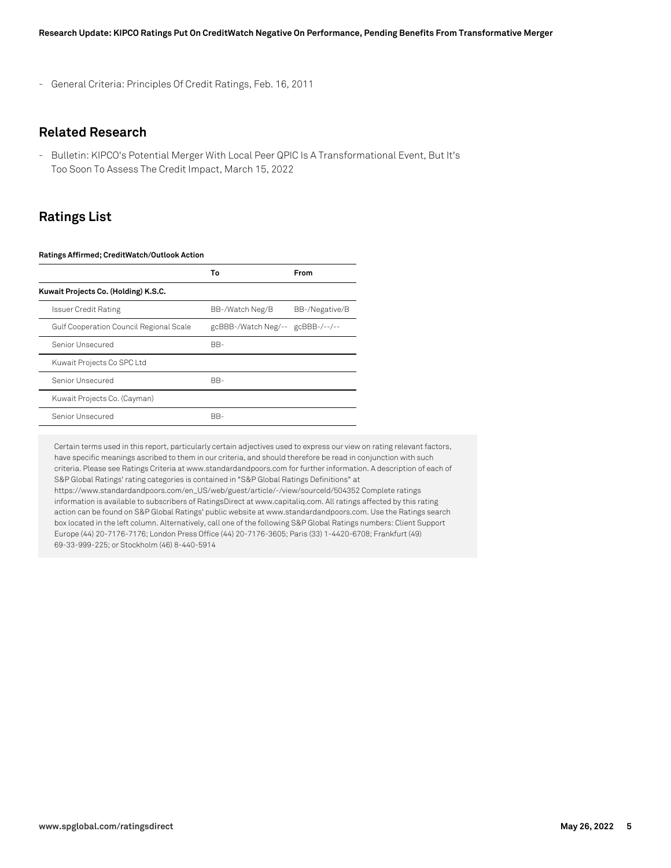- General Criteria: Principles Of Credit Ratings, Feb. 16, 2011

#### **Related Research**

- Bulletin: KIPCO's Potential Merger With Local Peer QPIC Is A Transformational Event, But It's Too Soon To Assess The Credit Impact, March 15, 2022

## **Ratings List**

#### **Ratings Affirmed; CreditWatch/Outlook Action**

|                                         | Т٥                               | From           |
|-----------------------------------------|----------------------------------|----------------|
| Kuwait Projects Co. (Holding) K.S.C.    |                                  |                |
| <b>Issuer Credit Rating</b>             | BB-/Watch Neg/B                  | BB-/Negative/B |
| Gulf Cooperation Council Regional Scale | gcBBB-/Watch Neg/-- gcBBB-/--/-- |                |
| Senior Unsecured                        | BB-                              |                |
| Kuwait Projects Co SPC Ltd              |                                  |                |
| Senior Unsecured                        | BB-                              |                |
| Kuwait Projects Co. (Cayman)            |                                  |                |
| Senior Unsecured                        | BB-                              |                |

Certain terms used in this report, particularly certain adjectives used to express our view on rating relevant factors, have specific meanings ascribed to them in our criteria, and should therefore be read in conjunction with such criteria. Please see Ratings Criteria at www.standardandpoors.com for further information. A description of each of S&P Global Ratings' rating categories is contained in "S&P Global Ratings Definitions" at https://www.standardandpoors.com/en\_US/web/guest/article/-/view/sourceId/504352 Complete ratings information is available to subscribers of RatingsDirect at www.capitaliq.com. All ratings affected by this rating action can be found on S&P Global Ratings' public website at www.standardandpoors.com. Use the Ratings search box located in the left column. Alternatively, call one of the following S&P Global Ratings numbers: Client Support Europe (44) 20-7176-7176; London Press Office (44) 20-7176-3605; Paris (33) 1-4420-6708; Frankfurt (49) 69-33-999-225; or Stockholm (46) 8-440-5914